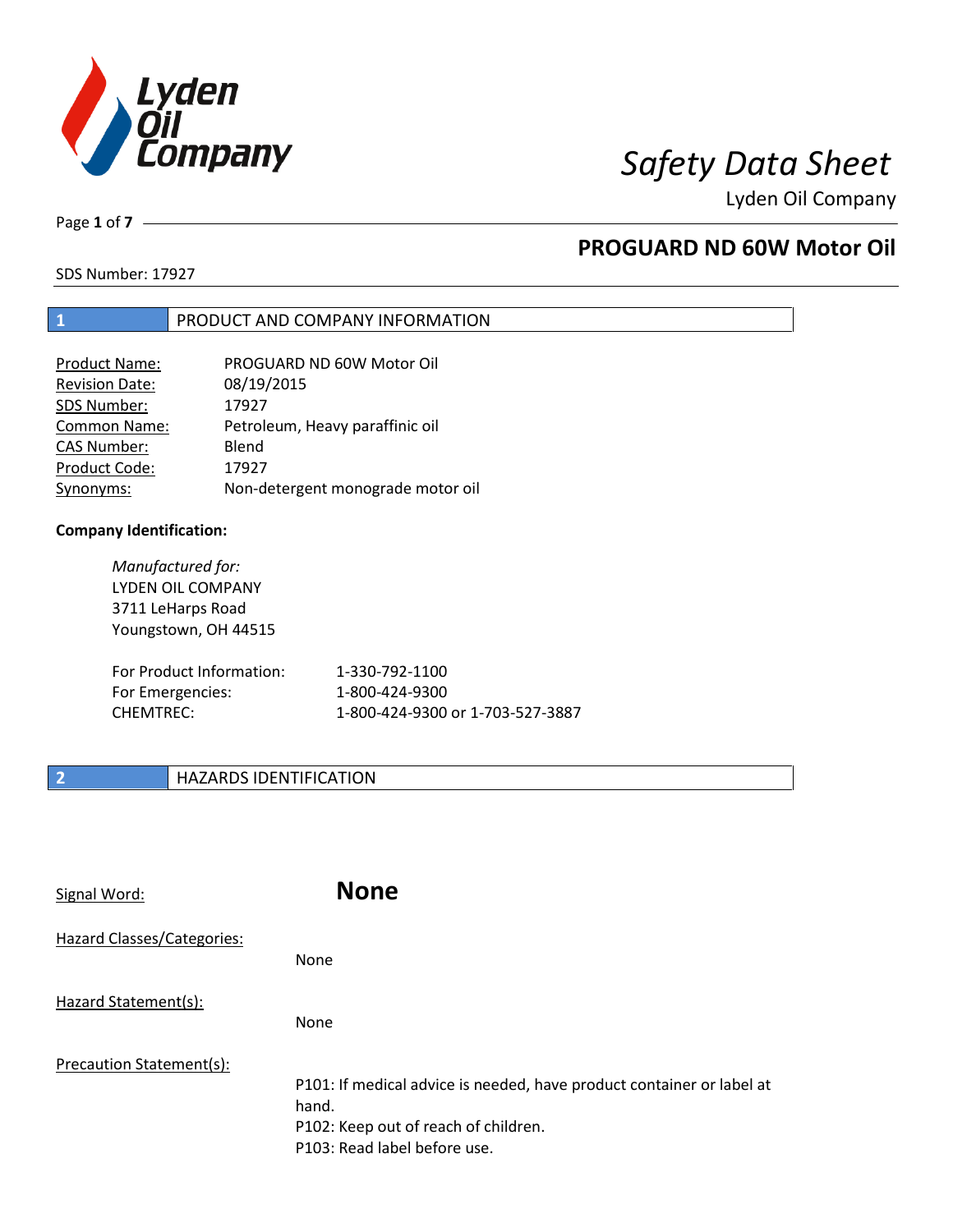

Page **1** of **7**

## **PROGUARD ND 60W Motor Oil**

SDS Number: 17927

## **1** PRODUCT AND COMPANY INFORMATION

| Product Name:         | PROGUARD ND 60W Motor Oil         |
|-----------------------|-----------------------------------|
| <b>Revision Date:</b> | 08/19/2015                        |
| SDS Number:           | 17927                             |
| <b>Common Name:</b>   | Petroleum, Heavy paraffinic oil   |
| <b>CAS Number:</b>    | Blend                             |
| Product Code:         | 17927                             |
| Synonyms:             | Non-detergent monograde motor oil |

### **Company Identification:**

*Manufactured for:* LYDEN OIL COMPANY 3711 LeHarps Road Youngstown, OH 44515 For Product Information: 1-330-792-1100 For Emergencies: 1-800-424-9300 CHEMTREC: 1-800-424-9300 or 1-703-527-3887

## **2 HAZARDS IDENTIFICATION**

| Signal Word:               | <b>None</b>                                                                                                                                            |
|----------------------------|--------------------------------------------------------------------------------------------------------------------------------------------------------|
| Hazard Classes/Categories: | <b>None</b>                                                                                                                                            |
| Hazard Statement(s):       | <b>None</b>                                                                                                                                            |
| Precaution Statement(s):   | P101: If medical advice is needed, have product container or label at<br>hand.<br>P102: Keep out of reach of children.<br>P103: Read label before use. |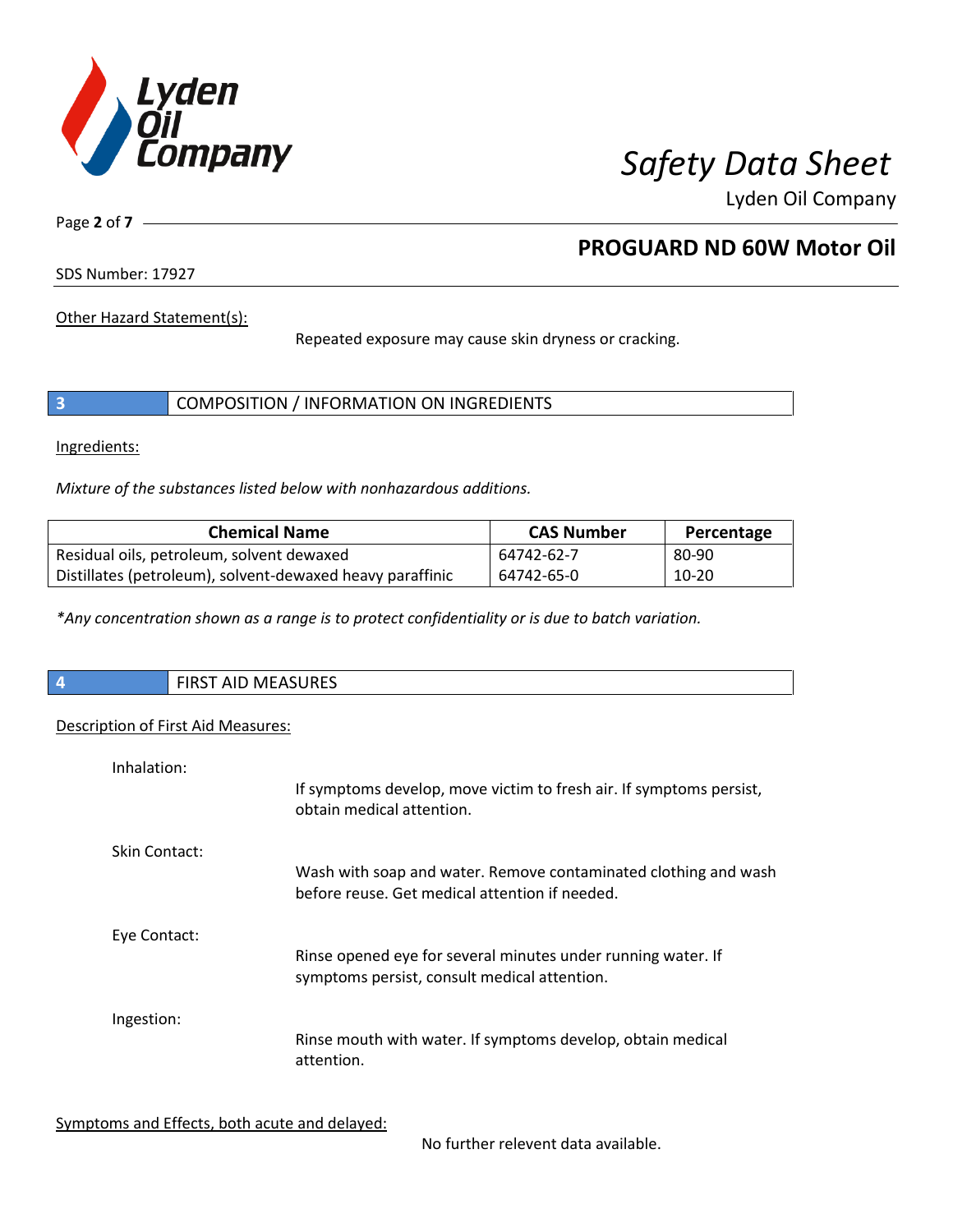

Page **2** of **7**

## **PROGUARD ND 60W Motor Oil**

SDS Number: 17927

Other Hazard Statement(s):

Repeated exposure may cause skin dryness or cracking.

|  | COMPOSITION / INFORMATION ON INGREDIENTS |
|--|------------------------------------------|
|--|------------------------------------------|

Ingredients:

*Mixture of the substances listed below with nonhazardous additions.*

| <b>Chemical Name</b>                                      | <b>CAS Number</b> | Percentage |
|-----------------------------------------------------------|-------------------|------------|
| Residual oils, petroleum, solvent dewaxed                 | 64742-62-7        | 80-90      |
| Distillates (petroleum), solvent-dewaxed heavy paraffinic | 64742-65-0        | 10-20      |

*\*Any concentration shown as a range is to protect confidentiality or is due to batch variation.*

| $\overline{\phantom{a}}$ | RST AID MEASURES<br>כחו־ |
|--------------------------|--------------------------|
|                          |                          |

## Description of First Aid Measures:

| Inhalation:   | If symptoms develop, move victim to fresh air. If symptoms persist,<br>obtain medical attention.                  |
|---------------|-------------------------------------------------------------------------------------------------------------------|
| Skin Contact: | Wash with soap and water. Remove contaminated clothing and wash<br>before reuse. Get medical attention if needed. |
| Eye Contact:  | Rinse opened eye for several minutes under running water. If<br>symptoms persist, consult medical attention.      |
| Ingestion:    | Rinse mouth with water. If symptoms develop, obtain medical<br>attention.                                         |

Symptoms and Effects, both acute and delayed:

No further relevent data available.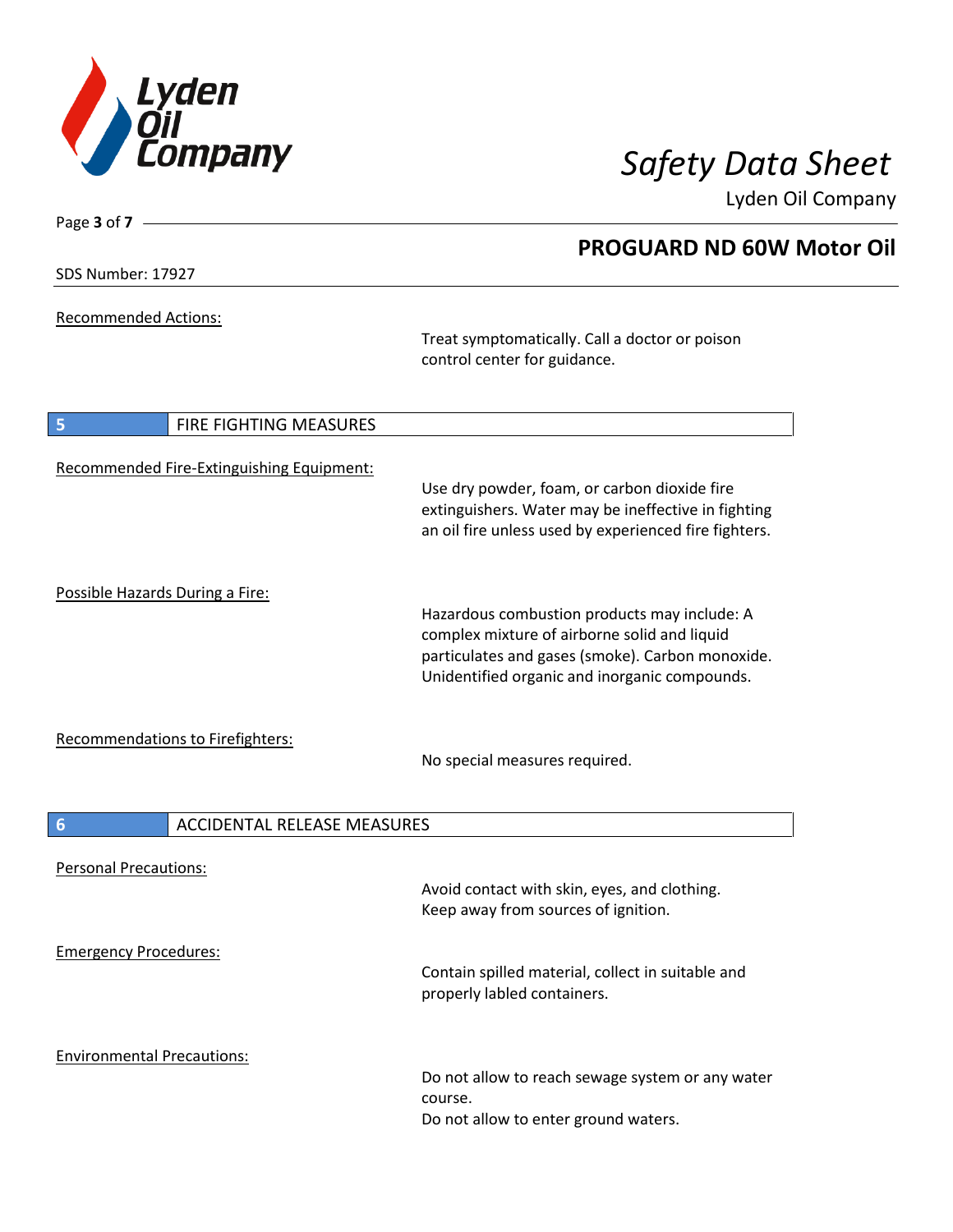

SDS Number: 17927

Page **3** of **7**

Recommended Actions:

Treat symptomatically. Call a doctor or poison control center for guidance.

| 5                                 | FIRE FIGHTING MEASURES                    |                                                                                                                                                                                                   |
|-----------------------------------|-------------------------------------------|---------------------------------------------------------------------------------------------------------------------------------------------------------------------------------------------------|
|                                   | Recommended Fire-Extinguishing Equipment: | Use dry powder, foam, or carbon dioxide fire<br>extinguishers. Water may be ineffective in fighting<br>an oil fire unless used by experienced fire fighters.                                      |
| Possible Hazards During a Fire:   |                                           | Hazardous combustion products may include: A<br>complex mixture of airborne solid and liquid<br>particulates and gases (smoke). Carbon monoxide.<br>Unidentified organic and inorganic compounds. |
|                                   | <b>Recommendations to Firefighters:</b>   | No special measures required.                                                                                                                                                                     |
| $6\phantom{1}6$                   | <b>ACCIDENTAL RELEASE MEASURES</b>        |                                                                                                                                                                                                   |
| <b>Personal Precautions:</b>      |                                           | Avoid contact with skin, eyes, and clothing.<br>Keep away from sources of ignition.                                                                                                               |
| <b>Emergency Procedures:</b>      |                                           | Contain spilled material, collect in suitable and<br>properly labled containers.                                                                                                                  |
| <b>Environmental Precautions:</b> |                                           | Do not allow to reach sewage system or any water<br>course.<br>Do not allow to enter ground waters.                                                                                               |

## **PROGUARD ND 60W Motor Oil**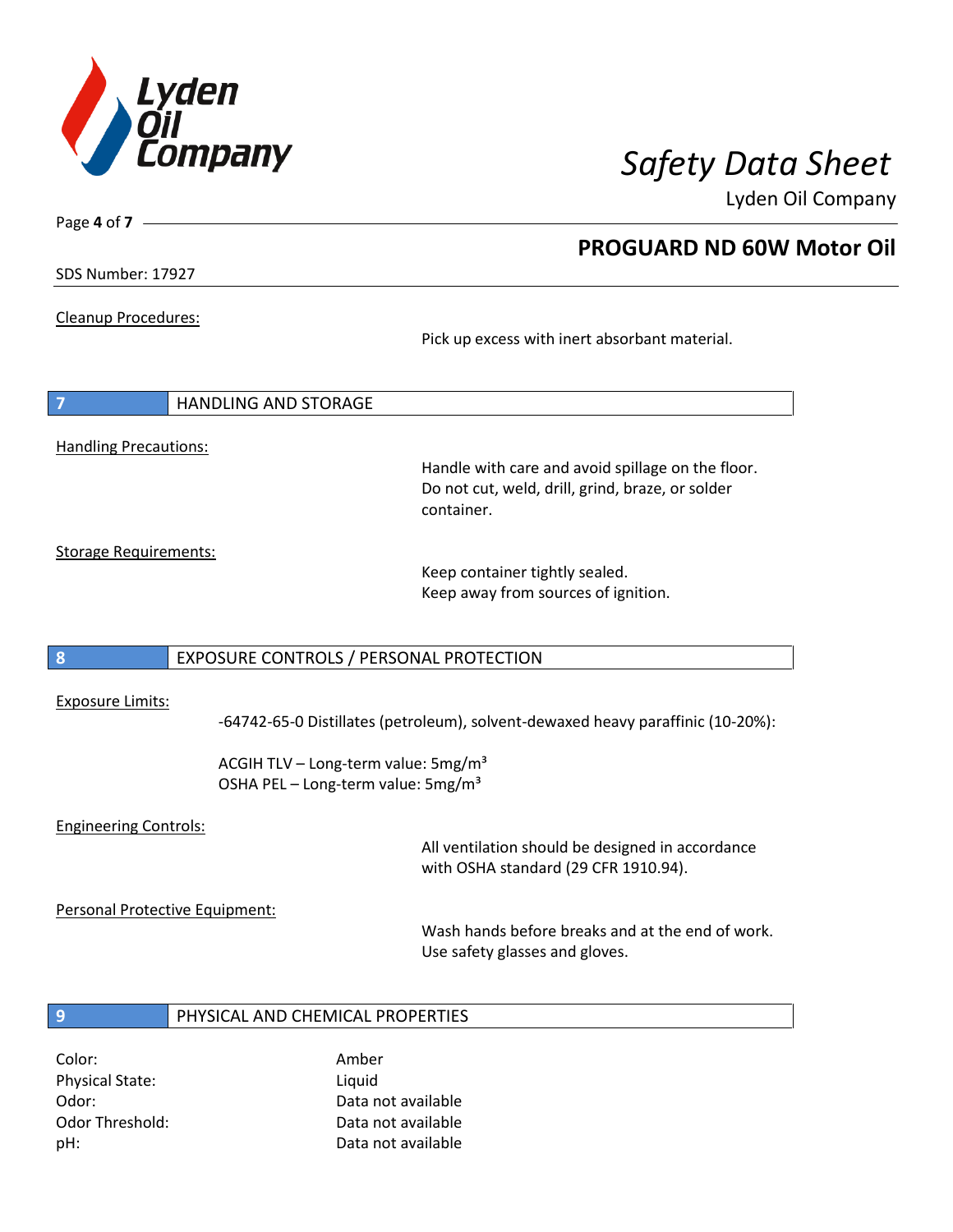

**PROGUARD ND 60W Motor Oil**

Lyden Oil Company

SDS Number: 17927

Page **4** of **7**

Cleanup Procedures:

Pick up excess with inert absorbant material.

**7** HANDLING AND STORAGE Handling Precautions:

Handle with care and avoid spillage on the floor. Do not cut, weld, drill, grind, braze, or solder container.

Storage Requirements:

Keep container tightly sealed. Keep away from sources of ignition.

## **8** EXPOSURE CONTROLS / PERSONAL PROTECTION

### Exposure Limits:

-64742-65-0 Distillates (petroleum), solvent-dewaxed heavy paraffinic (10-20%):

ACGIH TLV – Long-term value:  $5mg/m<sup>3</sup>$ OSHA PEL - Long-term value: 5mg/m<sup>3</sup>

## Engineering Controls:

All ventilation should be designed in accordance with OSHA standard (29 CFR 1910.94).

Personal Protective Equipment:

Wash hands before breaks and at the end of work. Use safety glasses and gloves.

## **9** PHYSICAL AND CHEMICAL PROPERTIES

Color: Amber Physical State: Liquid

Odor: Data not available Odor Threshold: Data not available pH: Data not available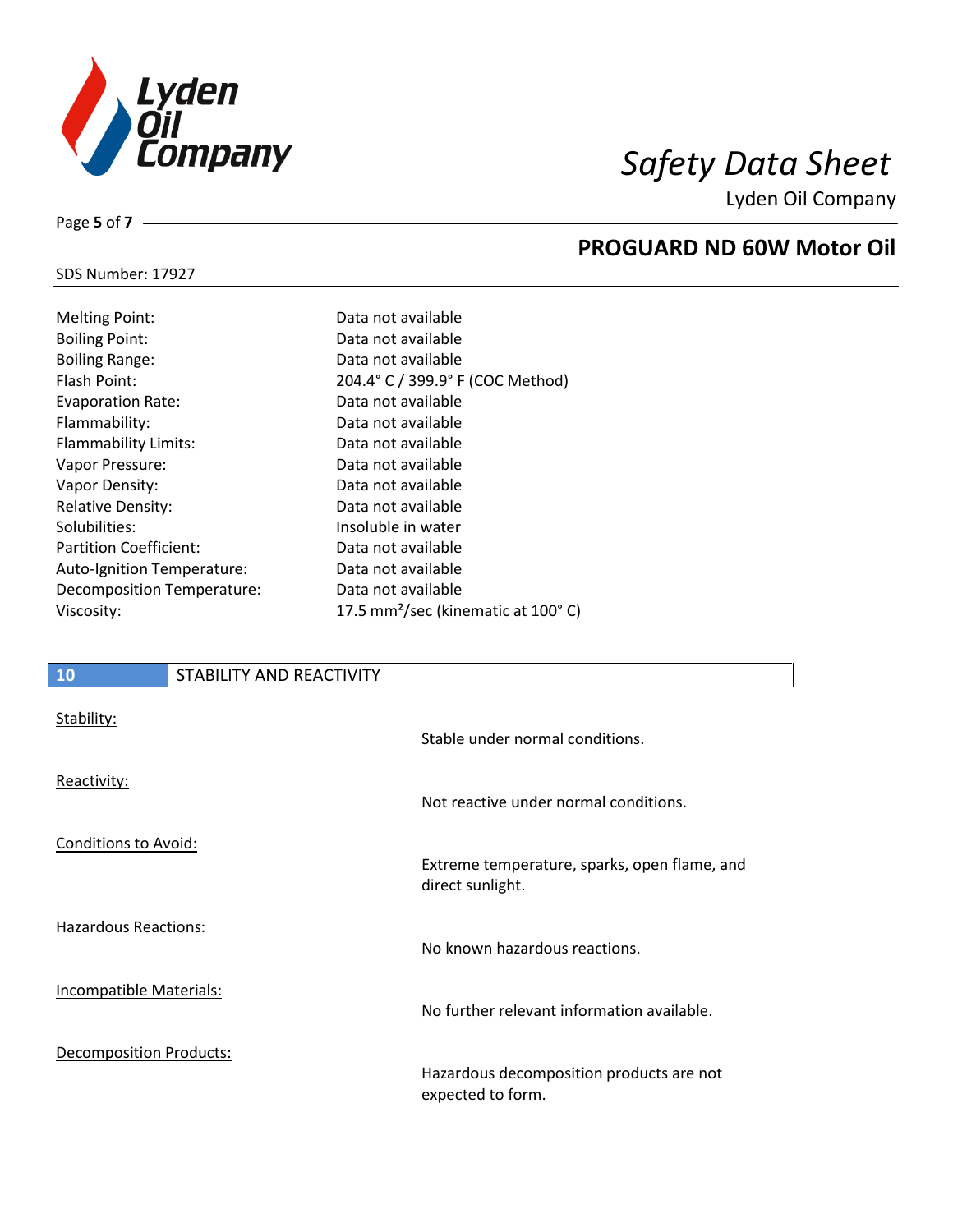

## SDS Number: 17927

Page **5** of **7**

# **PROGUARD ND 60W Motor Oil**

| <b>Melting Point:</b>             | Data not available                             |
|-----------------------------------|------------------------------------------------|
| <b>Boiling Point:</b>             | Data not available                             |
| <b>Boiling Range:</b>             | Data not available                             |
| Flash Point:                      | 204.4° C / 399.9° F (COC Method)               |
| <b>Evaporation Rate:</b>          | Data not available                             |
| Flammability:                     | Data not available                             |
| Flammability Limits:              | Data not available                             |
| Vapor Pressure:                   | Data not available                             |
| Vapor Density:                    | Data not available                             |
| <b>Relative Density:</b>          | Data not available                             |
| Solubilities:                     | Insoluble in water                             |
| <b>Partition Coefficient:</b>     | Data not available                             |
| <b>Auto-Ignition Temperature:</b> | Data not available                             |
| Decomposition Temperature:        | Data not available                             |
| Viscosity:                        | 17.5 mm <sup>2</sup> /sec (kinematic at 100°C) |
|                                   |                                                |

## **10** STABILITY AND REACTIVITY

| Stability:                  | Stable under normal conditions.                                  |
|-----------------------------|------------------------------------------------------------------|
| Reactivity:                 | Not reactive under normal conditions.                            |
| Conditions to Avoid:        | Extreme temperature, sparks, open flame, and<br>direct sunlight. |
| <b>Hazardous Reactions:</b> | No known hazardous reactions.                                    |
| Incompatible Materials:     | No further relevant information available.                       |
| Decomposition Products:     | Hazardous decomposition products are not<br>expected to form.    |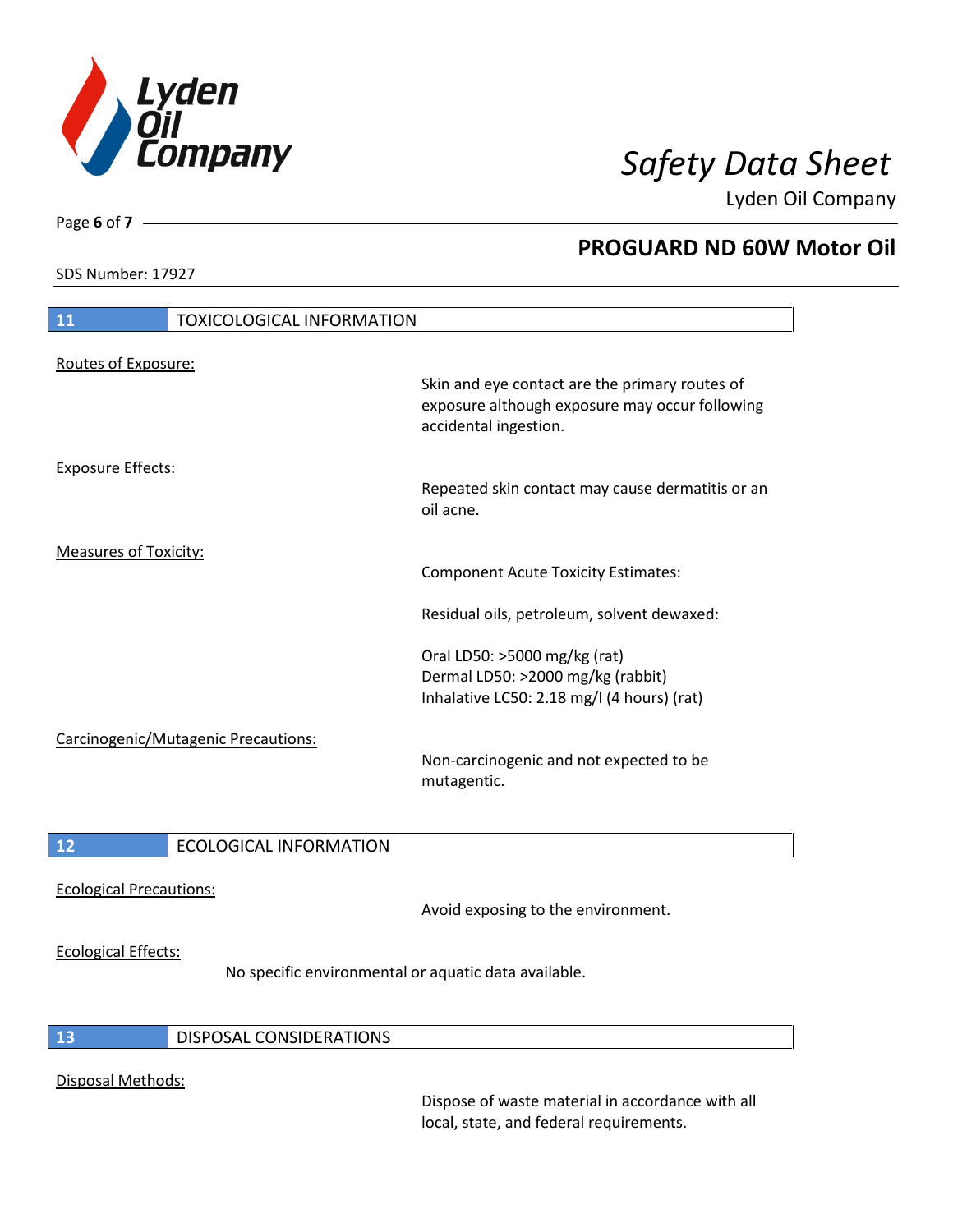

SDS Number: 17927

Page **6** of **7**

## **PROGUARD ND 60W Motor Oil**

| 11                           | <b>TOXICOLOGICAL INFORMATION</b>    |                                                                                                                                                                                                             |
|------------------------------|-------------------------------------|-------------------------------------------------------------------------------------------------------------------------------------------------------------------------------------------------------------|
| Routes of Exposure:          |                                     | Skin and eye contact are the primary routes of<br>exposure although exposure may occur following<br>accidental ingestion.                                                                                   |
| <b>Exposure Effects:</b>     |                                     | Repeated skin contact may cause dermatitis or an<br>oil acne.                                                                                                                                               |
| <b>Measures of Toxicity:</b> |                                     | <b>Component Acute Toxicity Estimates:</b><br>Residual oils, petroleum, solvent dewaxed:<br>Oral LD50: >5000 mg/kg (rat)<br>Dermal LD50: >2000 mg/kg (rabbit)<br>Inhalative LC50: 2.18 mg/l (4 hours) (rat) |
|                              | Carcinogenic/Mutagenic Precautions: | Non-carcinogenic and not expected to be<br>mutagentic.                                                                                                                                                      |
| 12                           | <b>ECOLOGICAL INFORMATION</b>       |                                                                                                                                                                                                             |

Ecological Precautions:

Avoid exposing to the environment.

### Ecological Effects:

No specific environmental or aquatic data available.

## **13** DISPOSAL CONSIDERATIONS

### Disposal Methods:

Dispose of waste material in accordance with all local, state, and federal requirements.